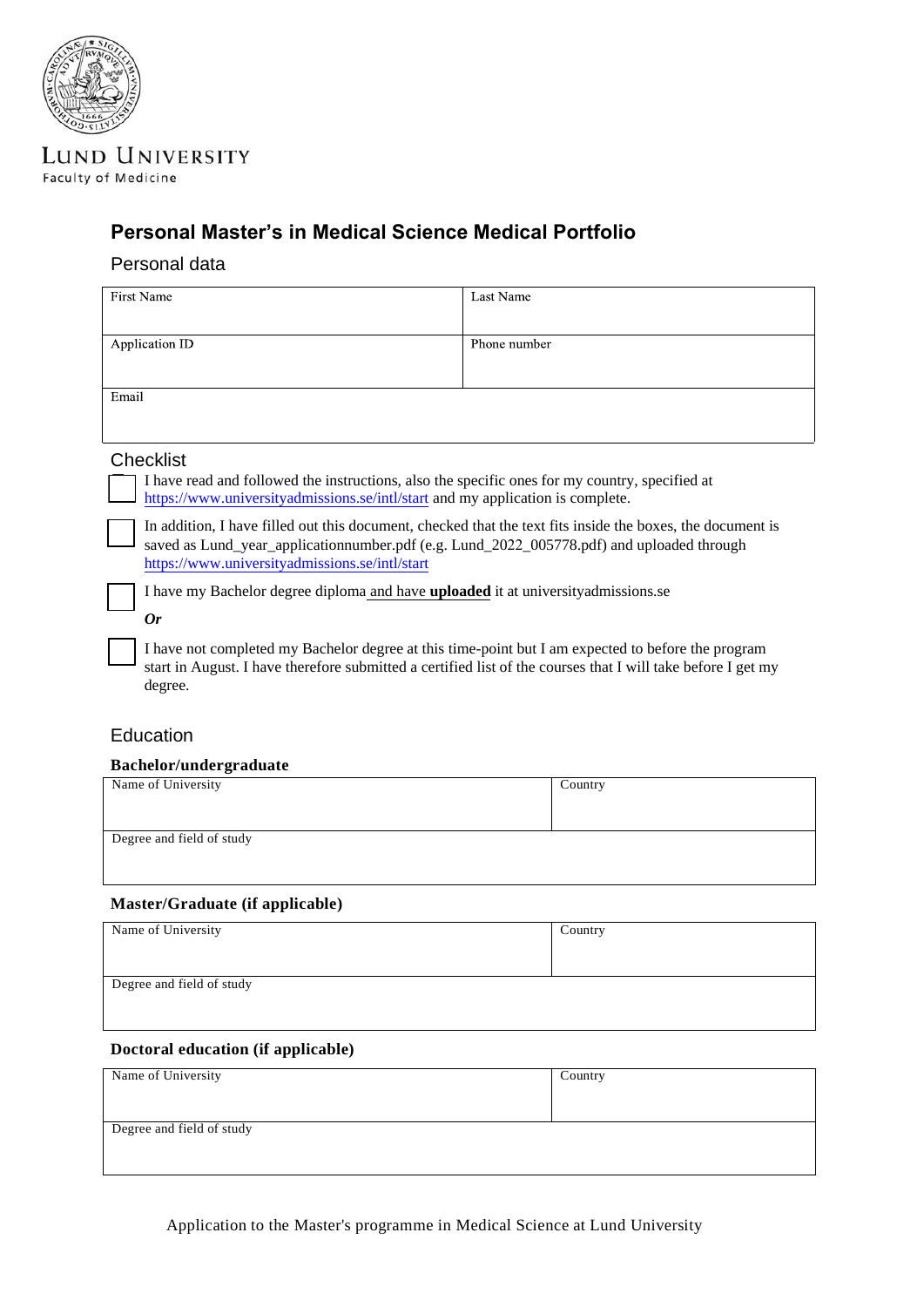

**LUND UNIVERSITY Faculty of Medicine** 

# **Personal Master's in Medical Science Medical Portfolio**

### Personal data

| <b>First Name</b>                                                                                                                                                                                                                                         | Last Name    |  |
|-----------------------------------------------------------------------------------------------------------------------------------------------------------------------------------------------------------------------------------------------------------|--------------|--|
| Application ID                                                                                                                                                                                                                                            | Phone number |  |
|                                                                                                                                                                                                                                                           |              |  |
| Email                                                                                                                                                                                                                                                     |              |  |
|                                                                                                                                                                                                                                                           |              |  |
| <b>Checklist</b>                                                                                                                                                                                                                                          |              |  |
| I have read and followed the instructions, also the specific ones for my country, specified at<br>https://www.universityadmissions.se/intl/start and my application is complete.                                                                          |              |  |
| In addition, I have filled out this document, checked that the text fits inside the boxes, the document is<br>saved as Lund_year_applicationnumber.pdf (e.g. Lund_2022_005778.pdf) and uploaded through<br>https://www.universityadmissions.se/intl/start |              |  |
| I have my Bachelor degree diploma and have uploaded it at university admissions.se                                                                                                                                                                        |              |  |
| 0r                                                                                                                                                                                                                                                        |              |  |
| I have not completed my Bachelor degree at this time-point but I am expected to before the program<br>start in August. I have therefore submitted a certified list of the courses that I will take before I get my<br>degree.                             |              |  |

### **Education**

#### **Bachelor/undergraduate**

| Name of University        | Country |
|---------------------------|---------|
|                           |         |
|                           |         |
| Degree and field of study |         |
|                           |         |
|                           |         |

### **Master/Graduate (if applicable)**

| Name of University        | Country |
|---------------------------|---------|
| Degree and field of study |         |
|                           |         |

### **Doctoral education (if applicable)**

| Name of University        | Country |
|---------------------------|---------|
|                           |         |
|                           |         |
| Degree and field of study |         |
|                           |         |
|                           |         |

Application to the Master's programme in Medical Science at Lund University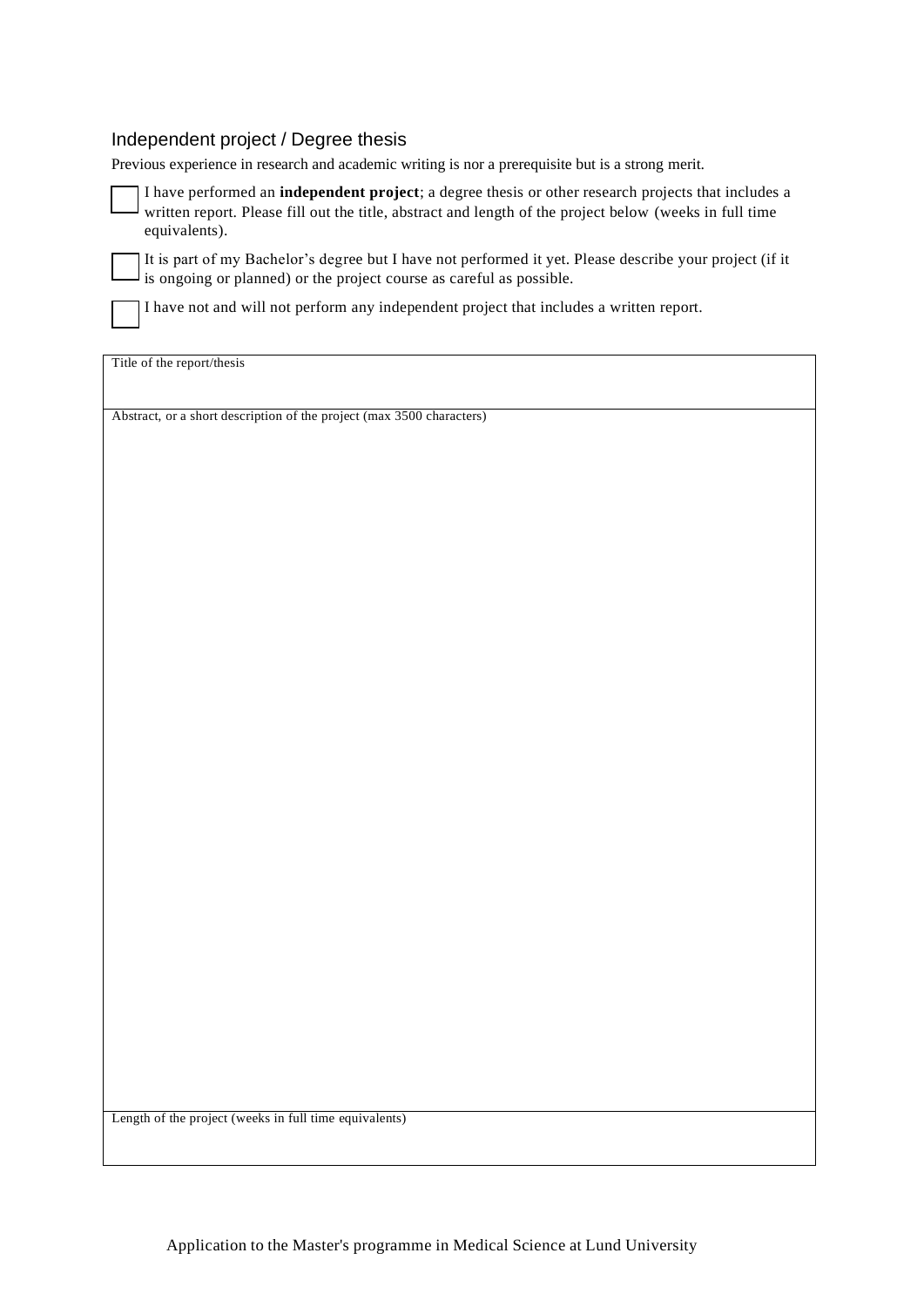#### Independent project / Degree thesis

Previous experience in research and academic writing is nor a prerequisite but is a strong merit.

 I have performed an **independent project**; a degree thesis or other research projects that includes a written report. Please fill out the title, abstract and length of the project below (weeks in full time equivalents).

 It is part of my Bachelor's degree but I have not performed it yet. Please describe your project (if it is ongoing or planned) or the project course as careful as possible.

I have not and will not perform any independent project that includes a written report.

Title of the report/thesis

Abstract, or a short description of the project (max 3500 characters)

Length of the project (weeks in full time equivalents)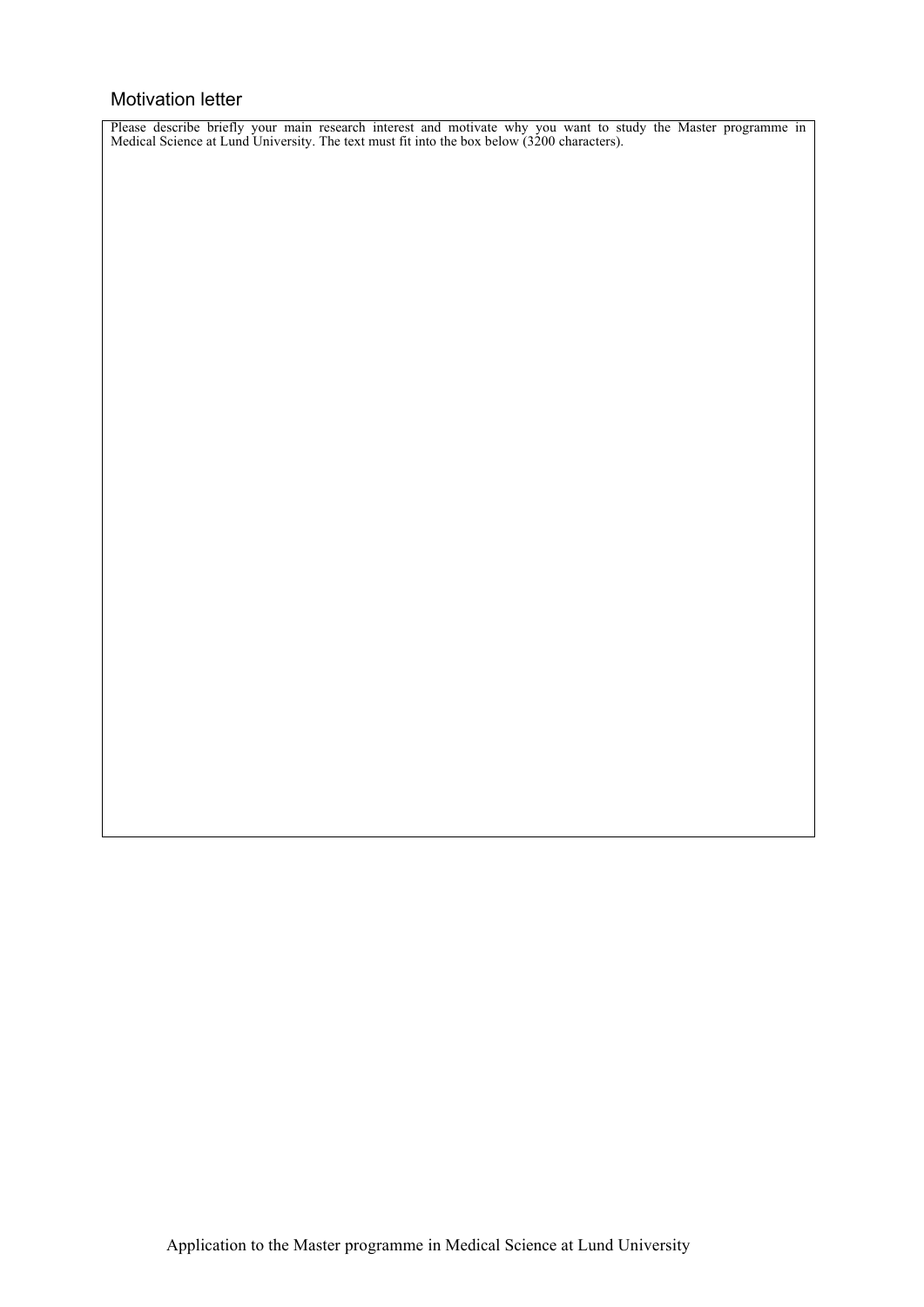#### Motivation letter

Please describe briefly your main research interest and motivate why you want to study the Master programme in Medical Science at Lund University. The text must fit into the box below (3200 characters).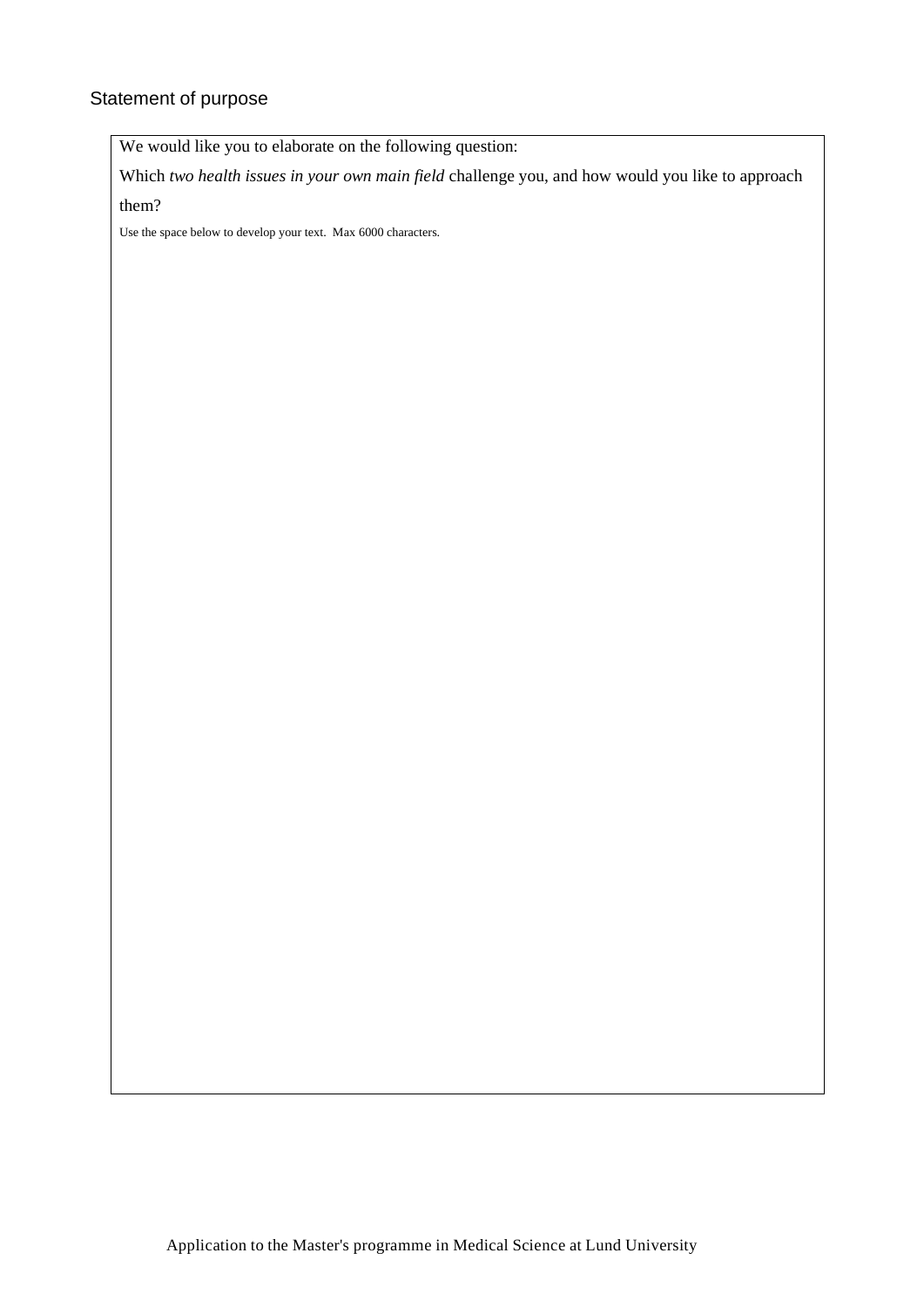# Statement of purpose

We would like you to elaborate on the following question:

Which *two health issues in your own main field* challenge you, and how would you like to approach them?

Use the space below to develop your text. Max 6000 characters.